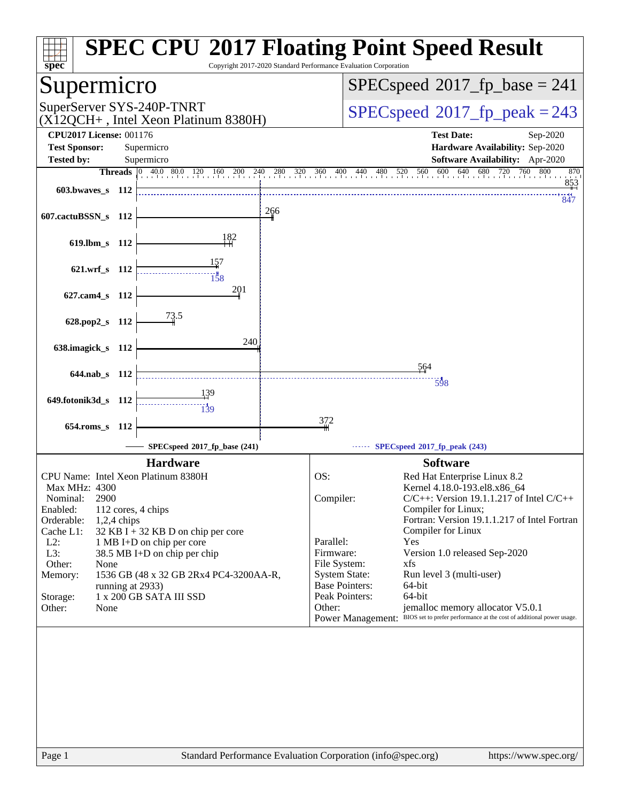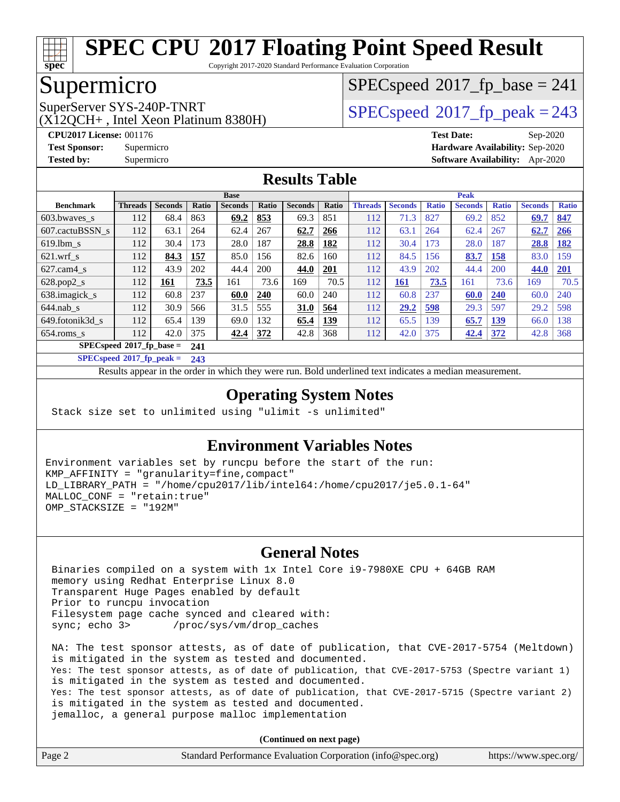

Copyright 2017-2020 Standard Performance Evaluation Corporation

## Supermicro

(X12QCH+ , Intel Xeon Platinum 8380H)

[SPECspeed](http://www.spec.org/auto/cpu2017/Docs/result-fields.html#SPECspeed2017fpbase)<sup>®</sup>2017 fp base = 241

SuperServer SYS-240P-TNRT  $SPI20CH_{1.}$  Intel Year Platinum 8280U)

**[CPU2017 License:](http://www.spec.org/auto/cpu2017/Docs/result-fields.html#CPU2017License)** 001176 **[Test Date:](http://www.spec.org/auto/cpu2017/Docs/result-fields.html#TestDate)** Sep-2020 **[Test Sponsor:](http://www.spec.org/auto/cpu2017/Docs/result-fields.html#TestSponsor)** Supermicro **[Hardware Availability:](http://www.spec.org/auto/cpu2017/Docs/result-fields.html#HardwareAvailability)** Sep-2020 **[Tested by:](http://www.spec.org/auto/cpu2017/Docs/result-fields.html#Testedby)** Supermicro **[Software Availability:](http://www.spec.org/auto/cpu2017/Docs/result-fields.html#SoftwareAvailability)** Apr-2020

#### **[Results Table](http://www.spec.org/auto/cpu2017/Docs/result-fields.html#ResultsTable)**

|                            | <b>Base</b>    |                |       |                |       |                | <b>Peak</b> |                |                |              |                |              |                |              |
|----------------------------|----------------|----------------|-------|----------------|-------|----------------|-------------|----------------|----------------|--------------|----------------|--------------|----------------|--------------|
| <b>Benchmark</b>           | <b>Threads</b> | <b>Seconds</b> | Ratio | <b>Seconds</b> | Ratio | <b>Seconds</b> | Ratio       | <b>Threads</b> | <b>Seconds</b> | <b>Ratio</b> | <b>Seconds</b> | <b>Ratio</b> | <b>Seconds</b> | <b>Ratio</b> |
| 603.bwayes s               | 112            | 68.4           | 863   | 69.2           | 853   | 69.3           | 851         | 112            | 71.3           | 827          | 69.2           | 852          | 69.7           | 847          |
| 607.cactuBSSN s            | 112            | 63.1           | 264   | 62.4           | 267   | 62.7           | 266         | 112            | 63.1           | 264          | 62.4           | 267          | 62.7           | 266          |
| $619.1$ bm s               | 112            | 30.4           | 173   | 28.0           | 187   | 28.8           | 182         | 112            | 30.4           | 173          | 28.0           | 187          | 28.8           | 182          |
| $621$ .wrf s               | 112            | 84.3           | 157   | 85.0           | 156   | 82.6           | 160         | 112            | 84.5           | 156          | 83.7           | 158          | 83.0           | 159          |
| $627$ .cam4 s              | 112            | 43.9           | 202   | 44.4           | 200   | 44.0           | 201         | 112            | 43.9           | 202          | 44.4           | 200          | 44.0           | 201          |
| $628.pop2_s$               | 112            | 161            | 73.5  | 161            | 73.6  | 169            | 70.5        | 112            | 161            | 73.5         | 161            | 73.6         | 169            | 70.5         |
| 638.imagick_s              | 112            | 60.8           | 237   | 60.0           | 240   | 60.0           | 240         | 112            | 60.8           | 237          | 60.0           | 240          | 60.0           | 240          |
| $644$ .nab s               | 112            | 30.9           | 566   | 31.5           | 555   | <b>31.0</b>    | 564         | 112            | 29.2           | 598          | 29.3           | 597          | 29.2           | 598          |
| 649.fotonik3d s            | 112            | 65.4           | 139   | 69.0           | 132   | 65.4           | 139         | 112            | 65.5           | 139          | 65.7           | 139          | 66.0           | 138          |
| $654$ .roms s              | 112            | 42.0           | 375   | 42.4           | 372   | 42.8           | 368         | 112            | 42.0           | 375          | 42.4           | 372          | 42.8           | 368          |
| $SPECspeed*2017$ fp base = |                |                | 241   |                |       |                |             |                |                |              |                |              |                |              |

**[SPECspeed](http://www.spec.org/auto/cpu2017/Docs/result-fields.html#SPECspeed2017fppeak)[2017\\_fp\\_peak =](http://www.spec.org/auto/cpu2017/Docs/result-fields.html#SPECspeed2017fppeak) 243**

Results appear in the [order in which they were run.](http://www.spec.org/auto/cpu2017/Docs/result-fields.html#RunOrder) Bold underlined text [indicates a median measurement](http://www.spec.org/auto/cpu2017/Docs/result-fields.html#Median).

#### **[Operating System Notes](http://www.spec.org/auto/cpu2017/Docs/result-fields.html#OperatingSystemNotes)**

Stack size set to unlimited using "ulimit -s unlimited"

#### **[Environment Variables Notes](http://www.spec.org/auto/cpu2017/Docs/result-fields.html#EnvironmentVariablesNotes)**

Environment variables set by runcpu before the start of the run: KMP\_AFFINITY = "granularity=fine,compact" LD\_LIBRARY\_PATH = "/home/cpu2017/lib/intel64:/home/cpu2017/je5.0.1-64" MALLOC\_CONF = "retain:true" OMP\_STACKSIZE = "192M"

### **[General Notes](http://www.spec.org/auto/cpu2017/Docs/result-fields.html#GeneralNotes)**

 Binaries compiled on a system with 1x Intel Core i9-7980XE CPU + 64GB RAM memory using Redhat Enterprise Linux 8.0 Transparent Huge Pages enabled by default Prior to runcpu invocation Filesystem page cache synced and cleared with: sync; echo 3> /proc/sys/vm/drop\_caches

 NA: The test sponsor attests, as of date of publication, that CVE-2017-5754 (Meltdown) is mitigated in the system as tested and documented. Yes: The test sponsor attests, as of date of publication, that CVE-2017-5753 (Spectre variant 1) is mitigated in the system as tested and documented. Yes: The test sponsor attests, as of date of publication, that CVE-2017-5715 (Spectre variant 2) is mitigated in the system as tested and documented. jemalloc, a general purpose malloc implementation

**(Continued on next page)**

| Page 2 | Standard Performance Evaluation Corporation (info@spec.org) | https://www.spec.org/ |
|--------|-------------------------------------------------------------|-----------------------|
|--------|-------------------------------------------------------------|-----------------------|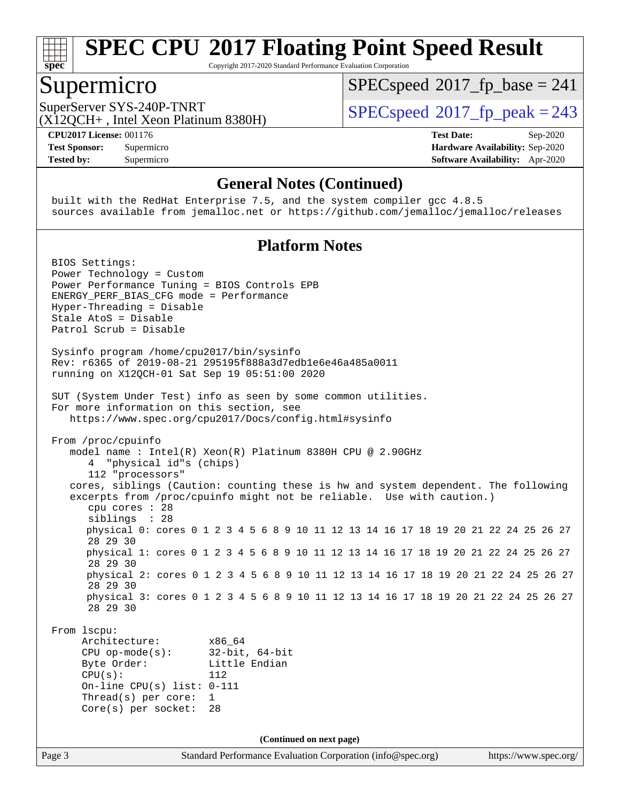

Copyright 2017-2020 Standard Performance Evaluation Corporation

### Supermicro

[SPECspeed](http://www.spec.org/auto/cpu2017/Docs/result-fields.html#SPECspeed2017fpbase)<sup>®</sup>2017 fp base = 241

(X12QCH+ , Intel Xeon Platinum 8380H)

SuperServer SYS-240P-TNRT  $SPI20CH_{1.}$  Intel Year Platinum 8280U)

**[Tested by:](http://www.spec.org/auto/cpu2017/Docs/result-fields.html#Testedby)** Supermicro **[Software Availability:](http://www.spec.org/auto/cpu2017/Docs/result-fields.html#SoftwareAvailability)** Apr-2020

**[CPU2017 License:](http://www.spec.org/auto/cpu2017/Docs/result-fields.html#CPU2017License)** 001176 **[Test Date:](http://www.spec.org/auto/cpu2017/Docs/result-fields.html#TestDate)** Sep-2020 **[Test Sponsor:](http://www.spec.org/auto/cpu2017/Docs/result-fields.html#TestSponsor)** Supermicro **[Hardware Availability:](http://www.spec.org/auto/cpu2017/Docs/result-fields.html#HardwareAvailability)** Sep-2020

#### **[General Notes \(Continued\)](http://www.spec.org/auto/cpu2017/Docs/result-fields.html#GeneralNotes)**

 built with the RedHat Enterprise 7.5, and the system compiler gcc 4.8.5 sources available from jemalloc.net or <https://github.com/jemalloc/jemalloc/releases>

#### **[Platform Notes](http://www.spec.org/auto/cpu2017/Docs/result-fields.html#PlatformNotes)**

Page 3 Standard Performance Evaluation Corporation [\(info@spec.org\)](mailto:info@spec.org) <https://www.spec.org/> BIOS Settings: Power Technology = Custom Power Performance Tuning = BIOS Controls EPB ENERGY\_PERF\_BIAS\_CFG mode = Performance Hyper-Threading = Disable Stale AtoS = Disable Patrol Scrub = Disable Sysinfo program /home/cpu2017/bin/sysinfo Rev: r6365 of 2019-08-21 295195f888a3d7edb1e6e46a485a0011 running on X12QCH-01 Sat Sep 19 05:51:00 2020 SUT (System Under Test) info as seen by some common utilities. For more information on this section, see <https://www.spec.org/cpu2017/Docs/config.html#sysinfo> From /proc/cpuinfo model name : Intel(R) Xeon(R) Platinum 8380H CPU @ 2.90GHz 4 "physical id"s (chips) 112 "processors" cores, siblings (Caution: counting these is hw and system dependent. The following excerpts from /proc/cpuinfo might not be reliable. Use with caution.) cpu cores : 28 siblings : 28 physical 0: cores 0 1 2 3 4 5 6 8 9 10 11 12 13 14 16 17 18 19 20 21 22 24 25 26 27 28 29 30 physical 1: cores 0 1 2 3 4 5 6 8 9 10 11 12 13 14 16 17 18 19 20 21 22 24 25 26 27 28 29 30 physical 2: cores 0 1 2 3 4 5 6 8 9 10 11 12 13 14 16 17 18 19 20 21 22 24 25 26 27 28 29 30 physical 3: cores 0 1 2 3 4 5 6 8 9 10 11 12 13 14 16 17 18 19 20 21 22 24 25 26 27 28 29 30 From lscpu: Architecture: x86\_64 CPU op-mode(s): 32-bit, 64-bit Byte Order: Little Endian  $CPU(s):$  112 On-line CPU(s) list: 0-111 Thread(s) per core: 1 Core(s) per socket: 28 **(Continued on next page)**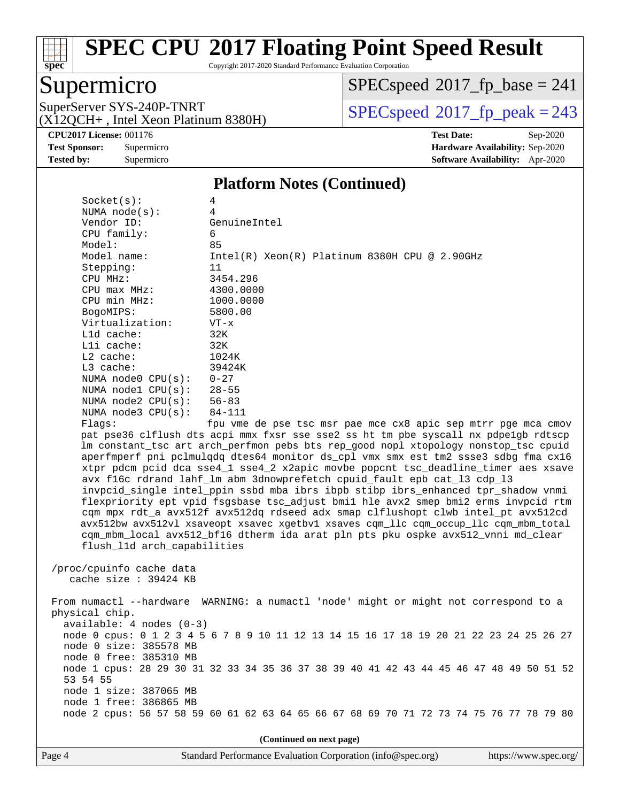

Copyright 2017-2020 Standard Performance Evaluation Corporation

## Supermicro

(X12QCH+ , Intel Xeon Platinum 8380H)

 $SPECspeed^{\circledast}2017_fp\_base = 241$  $SPECspeed^{\circledast}2017_fp\_base = 241$ 

SuperServer SYS-240P-TNRT  $SUS - 240P$ -TNRT  $SPEC speed@2017$  fp\_peak = 243

**[CPU2017 License:](http://www.spec.org/auto/cpu2017/Docs/result-fields.html#CPU2017License)** 001176 **[Test Date:](http://www.spec.org/auto/cpu2017/Docs/result-fields.html#TestDate)** Sep-2020 **[Test Sponsor:](http://www.spec.org/auto/cpu2017/Docs/result-fields.html#TestSponsor)** Supermicro **[Hardware Availability:](http://www.spec.org/auto/cpu2017/Docs/result-fields.html#HardwareAvailability)** Sep-2020 **[Tested by:](http://www.spec.org/auto/cpu2017/Docs/result-fields.html#Testedby)** Supermicro **[Software Availability:](http://www.spec.org/auto/cpu2017/Docs/result-fields.html#SoftwareAvailability)** Apr-2020

#### **[Platform Notes \(Continued\)](http://www.spec.org/auto/cpu2017/Docs/result-fields.html#PlatformNotes)**

| Socket(s):                  | 4                                                                                      |
|-----------------------------|----------------------------------------------------------------------------------------|
| NUMA $node(s)$ :            | 4                                                                                      |
| Vendor ID:                  | GenuineIntel                                                                           |
| CPU family:                 | 6                                                                                      |
| Model:                      | 85                                                                                     |
| Model name:                 | $Intel(R) Xeon(R) Platinum 8380H CPU @ 2.90GHz$                                        |
| Stepping:                   | 11                                                                                     |
| CPU MHz:                    | 3454.296                                                                               |
| $CPU$ max $MHz$ :           | 4300.0000                                                                              |
| CPU min MHz:                | 1000.0000                                                                              |
| BogoMIPS:                   | 5800.00                                                                                |
| Virtualization:             | $VT - x$                                                                               |
| Lld cache:                  | 32K                                                                                    |
| Lli cache:                  | 32K                                                                                    |
| $L2$ cache:                 | 1024K                                                                                  |
| $L3$ cache:                 | 39424K                                                                                 |
| NUMA $node0$ $CPU(s):$      | $0 - 27$                                                                               |
| NUMA node1 CPU(s): 28-55    |                                                                                        |
| NUMA node2 $CPU(s):$ 56-83  |                                                                                        |
| NUMA $node3$ $CPU(s)$ :     | 84-111                                                                                 |
| Flags:                      | fpu vme de pse tsc msr pae mce cx8 apic sep mtrr pge mca cmov                          |
|                             | pat pse36 clflush dts acpi mmx fxsr sse sse2 ss ht tm pbe syscall nx pdpelgb rdtscp    |
|                             | lm constant_tsc art arch_perfmon pebs bts rep_good nopl xtopology nonstop_tsc cpuid    |
|                             | aperfmperf pni pclmulqdq dtes64 monitor ds_cpl vmx smx est tm2 ssse3 sdbg fma cx16     |
|                             | xtpr pdcm pcid dca sse4_1 sse4_2 x2apic movbe popcnt tsc_deadline_timer aes xsave      |
|                             | avx f16c rdrand lahf_lm abm 3dnowprefetch cpuid_fault epb cat_13 cdp_13                |
|                             | invpcid_single intel_ppin ssbd mba ibrs ibpb stibp ibrs_enhanced tpr_shadow vnmi       |
|                             | flexpriority ept vpid fsgsbase tsc_adjust bmil hle avx2 smep bmi2 erms invpcid rtm     |
|                             | cqm mpx rdt_a avx512f avx512dq rdseed adx smap clflushopt clwb intel_pt avx512cd       |
|                             | avx512bw avx512vl xsaveopt xsavec xgetbvl xsaves cqm_llc cqm_occup_llc cqm_mbm_total   |
|                             | cqm_mbm_local avx512_bf16 dtherm ida arat pln pts pku ospke avx512_vnni md_clear       |
| flush_11d arch_capabilities |                                                                                        |
|                             |                                                                                        |
| /proc/cpuinfo cache data    |                                                                                        |
| cache size $: 39424$ KB     |                                                                                        |
|                             |                                                                                        |
|                             | From numactl --hardware WARNING: a numactl 'node' might or might not correspond to a   |
| physical chip.              |                                                                                        |
| $available: 4 nodes (0-3)$  |                                                                                        |
|                             | node 0 cpus: 0 1 2 3 4 5 6 7 8 9 10 11 12 13 14 15 16 17 18 19 20 21 22 23 24 25 26 27 |
| node 0 size: 385578 MB      |                                                                                        |
| node 0 free: 385310 MB      |                                                                                        |
|                             | 1  00 00 00 01 00 02 05 05 05 00 00 10 11 10 10 11 15 16 17 10 10 50 51 50             |

 node 1 cpus: 28 29 30 31 32 33 34 35 36 37 38 39 40 41 42 43 44 45 46 47 48 49 50 51 52 53 54 55 node 1 size: 387065 MB node 1 free: 386865 MB

node 2 cpus: 56 57 58 59 60 61 62 63 64 65 66 67 68 69 70 71 72 73 74 75 76 77 78 79 80

**(Continued on next page)**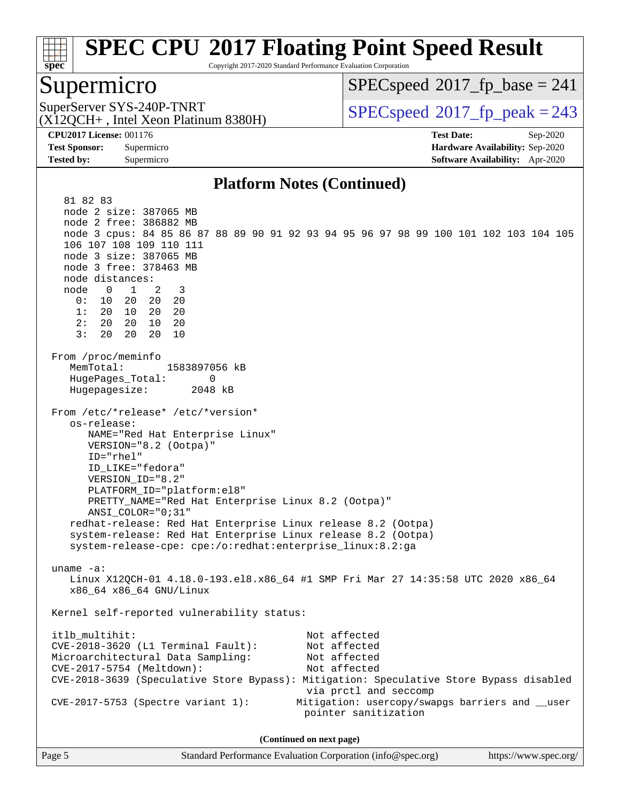

Copyright 2017-2020 Standard Performance Evaluation Corporation

### Supermicro

[SPECspeed](http://www.spec.org/auto/cpu2017/Docs/result-fields.html#SPECspeed2017fpbase)<sup>®</sup>2017 fp base = 241

(X12QCH+ , Intel Xeon Platinum 8380H)

SuperServer SYS-240P-TNRT  $SPPCspeed@2017$  fp\_peak = 243

**[CPU2017 License:](http://www.spec.org/auto/cpu2017/Docs/result-fields.html#CPU2017License)** 001176 **[Test Date:](http://www.spec.org/auto/cpu2017/Docs/result-fields.html#TestDate)** Sep-2020 **[Test Sponsor:](http://www.spec.org/auto/cpu2017/Docs/result-fields.html#TestSponsor)** Supermicro **[Hardware Availability:](http://www.spec.org/auto/cpu2017/Docs/result-fields.html#HardwareAvailability)** Sep-2020 **[Tested by:](http://www.spec.org/auto/cpu2017/Docs/result-fields.html#Testedby)** Supermicro **[Software Availability:](http://www.spec.org/auto/cpu2017/Docs/result-fields.html#SoftwareAvailability)** Apr-2020

#### **[Platform Notes \(Continued\)](http://www.spec.org/auto/cpu2017/Docs/result-fields.html#PlatformNotes)**

 81 82 83 node 2 size: 387065 MB node 2 free: 386882 MB node 3 cpus: 84 85 86 87 88 89 90 91 92 93 94 95 96 97 98 99 100 101 102 103 104 105 106 107 108 109 110 111 node 3 size: 387065 MB node 3 free: 378463 MB node distances: node 0 1 2 3 0: 10 20 20 20 1: 20 10 20 20 2: 20 20 10 20 3: 20 20 20 10 From /proc/meminfo MemTotal: 1583897056 kB HugePages\_Total: 0 Hugepagesize: 2048 kB From /etc/\*release\* /etc/\*version\* os-release: NAME="Red Hat Enterprise Linux" VERSION="8.2 (Ootpa)" ID="rhel" ID\_LIKE="fedora" VERSION\_ID="8.2" PLATFORM\_ID="platform:el8" PRETTY\_NAME="Red Hat Enterprise Linux 8.2 (Ootpa)" ANSI\_COLOR="0;31" redhat-release: Red Hat Enterprise Linux release 8.2 (Ootpa) system-release: Red Hat Enterprise Linux release 8.2 (Ootpa) system-release-cpe: cpe:/o:redhat:enterprise\_linux:8.2:ga uname -a: Linux X12QCH-01 4.18.0-193.el8.x86\_64 #1 SMP Fri Mar 27 14:35:58 UTC 2020 x86\_64 x86\_64 x86\_64 GNU/Linux Kernel self-reported vulnerability status: itlb\_multihit: Not affected CVE-2018-3620 (L1 Terminal Fault): Not affected Microarchitectural Data Sampling: Not affected CVE-2017-5754 (Meltdown): Not affected CVE-2018-3639 (Speculative Store Bypass): Mitigation: Speculative Store Bypass disabled via prctl and seccomp CVE-2017-5753 (Spectre variant 1): Mitigation: usercopy/swapgs barriers and \_\_user pointer sanitization **(Continued on next page)**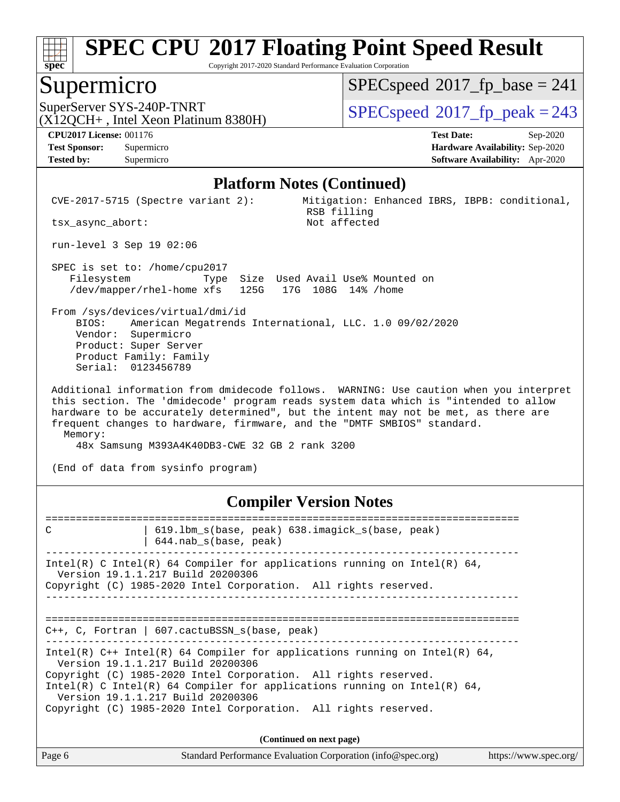

Copyright 2017-2020 Standard Performance Evaluation Corporation

### Supermicro

[SPECspeed](http://www.spec.org/auto/cpu2017/Docs/result-fields.html#SPECspeed2017fpbase)<sup>®</sup>2017 fp base = 241

(X12QCH+ , Intel Xeon Platinum 8380H)

SuperServer SYS-240P-TNRT  $SPPCspeed^{\circ}2017$  fp\_peak = 243

**[Tested by:](http://www.spec.org/auto/cpu2017/Docs/result-fields.html#Testedby)** Supermicro **[Software Availability:](http://www.spec.org/auto/cpu2017/Docs/result-fields.html#SoftwareAvailability)** Apr-2020

**[CPU2017 License:](http://www.spec.org/auto/cpu2017/Docs/result-fields.html#CPU2017License)** 001176 **[Test Date:](http://www.spec.org/auto/cpu2017/Docs/result-fields.html#TestDate)** Sep-2020 **[Test Sponsor:](http://www.spec.org/auto/cpu2017/Docs/result-fields.html#TestSponsor)** Supermicro **[Hardware Availability:](http://www.spec.org/auto/cpu2017/Docs/result-fields.html#HardwareAvailability)** Sep-2020

#### **[Platform Notes \(Continued\)](http://www.spec.org/auto/cpu2017/Docs/result-fields.html#PlatformNotes)**

 CVE-2017-5715 (Spectre variant 2): Mitigation: Enhanced IBRS, IBPB: conditional, RSB filling<br>Not affected

run-level 3 Sep 19 02:06

tsx\_async\_abort:

 SPEC is set to: /home/cpu2017 Filesystem Type Size Used Avail Use% Mounted on /dev/mapper/rhel-home xfs 125G 17G 108G 14% /home

 From /sys/devices/virtual/dmi/id BIOS: American Megatrends International, LLC. 1.0 09/02/2020 Vendor: Supermicro Product: Super Server Product Family: Family Serial: 0123456789

 Additional information from dmidecode follows. WARNING: Use caution when you interpret this section. The 'dmidecode' program reads system data which is "intended to allow hardware to be accurately determined", but the intent may not be met, as there are frequent changes to hardware, firmware, and the "DMTF SMBIOS" standard. Memory:

48x Samsung M393A4K40DB3-CWE 32 GB 2 rank 3200

(End of data from sysinfo program)

#### **[Compiler Version Notes](http://www.spec.org/auto/cpu2017/Docs/result-fields.html#CompilerVersionNotes)**

============================================================================== C | 619.1bm\_s(base, peak) 638.imagick\_s(base, peak) | 644.nab\_s(base, peak) ------------------------------------------------------------------------------ Intel(R) C Intel(R) 64 Compiler for applications running on Intel(R)  $64$ , Version 19.1.1.217 Build 20200306 Copyright (C) 1985-2020 Intel Corporation. All rights reserved. ------------------------------------------------------------------------------ ============================================================================== C++, C, Fortran | 607.cactuBSSN\_s(base, peak) ------------------------------------------------------------------------------ Intel(R) C++ Intel(R) 64 Compiler for applications running on Intel(R) 64, Version 19.1.1.217 Build 20200306 Copyright (C) 1985-2020 Intel Corporation. All rights reserved. Intel(R) C Intel(R) 64 Compiler for applications running on Intel(R) 64, Version 19.1.1.217 Build 20200306 Copyright (C) 1985-2020 Intel Corporation. All rights reserved. **(Continued on next page)**

| Page 6 | Standard Performance Evaluation Corporation (info@spec.org) | https://www.spec.org/ |
|--------|-------------------------------------------------------------|-----------------------|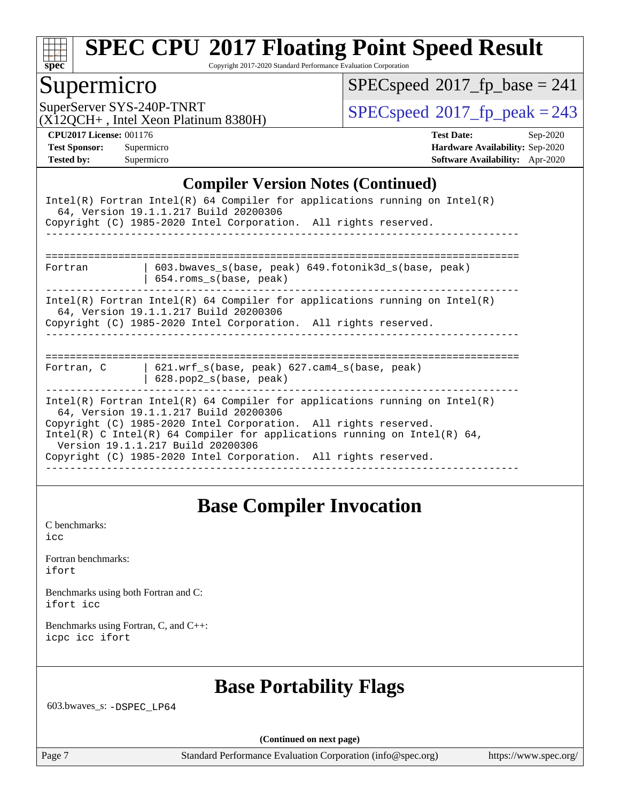

Copyright 2017-2020 Standard Performance Evaluation Corporation

### Supermicro

 $SPECspeed^{\circledast}2017_fp\_base = 241$  $SPECspeed^{\circledast}2017_fp\_base = 241$ 

(X12QCH+ , Intel Xeon Platinum 8380H)

SuperServer SYS-240P-TNRT  $SUS - 240P$ -TNRT  $SPEC speed \text{°}2017$  fp\_peak = 243

**[CPU2017 License:](http://www.spec.org/auto/cpu2017/Docs/result-fields.html#CPU2017License)** 001176 **[Test Date:](http://www.spec.org/auto/cpu2017/Docs/result-fields.html#TestDate)** Sep-2020 **[Test Sponsor:](http://www.spec.org/auto/cpu2017/Docs/result-fields.html#TestSponsor)** Supermicro **[Hardware Availability:](http://www.spec.org/auto/cpu2017/Docs/result-fields.html#HardwareAvailability)** Sep-2020 **[Tested by:](http://www.spec.org/auto/cpu2017/Docs/result-fields.html#Testedby)** Supermicro **[Software Availability:](http://www.spec.org/auto/cpu2017/Docs/result-fields.html#SoftwareAvailability)** Apr-2020

#### **[Compiler Version Notes \(Continued\)](http://www.spec.org/auto/cpu2017/Docs/result-fields.html#CompilerVersionNotes)**

| Intel(R) Fortran Intel(R) 64 Compiler for applications running on Intel(R)<br>64, Version 19.1.1.217 Build 20200306<br>Copyright (C) 1985-2020 Intel Corporation. All rights reserved.                                                                                                                                                                                     |  |  |  |  |  |
|----------------------------------------------------------------------------------------------------------------------------------------------------------------------------------------------------------------------------------------------------------------------------------------------------------------------------------------------------------------------------|--|--|--|--|--|
| 603.bwaves_s(base, peak) 649.fotonik3d_s(base, peak)<br>Fortran<br>654.roms_s(base, peak)                                                                                                                                                                                                                                                                                  |  |  |  |  |  |
| Intel(R) Fortran Intel(R) 64 Compiler for applications running on Intel(R)<br>64, Version 19.1.1.217 Build 20200306<br>Copyright (C) 1985-2020 Intel Corporation. All rights reserved.                                                                                                                                                                                     |  |  |  |  |  |
| $621.$ wrf $s(base, peak)$ $627.$ cam4 $s(base, peak)$<br>Fortran, C<br>$628.$ pop $2 s(base, peak)$                                                                                                                                                                                                                                                                       |  |  |  |  |  |
| Intel(R) Fortran Intel(R) 64 Compiler for applications running on Intel(R)<br>64, Version 19.1.1.217 Build 20200306<br>Copyright (C) 1985-2020 Intel Corporation. All rights reserved.<br>Intel(R) C Intel(R) 64 Compiler for applications running on Intel(R) 64,<br>Version 19.1.1.217 Build 20200306<br>Copyright (C) 1985-2020 Intel Corporation. All rights reserved. |  |  |  |  |  |

## **[Base Compiler Invocation](http://www.spec.org/auto/cpu2017/Docs/result-fields.html#BaseCompilerInvocation)**

[C benchmarks](http://www.spec.org/auto/cpu2017/Docs/result-fields.html#Cbenchmarks): [icc](http://www.spec.org/cpu2017/results/res2020q4/cpu2017-20200929-24137.flags.html#user_CCbase_intel_icc_66fc1ee009f7361af1fbd72ca7dcefbb700085f36577c54f309893dd4ec40d12360134090235512931783d35fd58c0460139e722d5067c5574d8eaf2b3e37e92)

| Fortran benchmarks: |  |
|---------------------|--|
| ifort               |  |

[Benchmarks using both Fortran and C](http://www.spec.org/auto/cpu2017/Docs/result-fields.html#BenchmarksusingbothFortranandC): [ifort](http://www.spec.org/cpu2017/results/res2020q4/cpu2017-20200929-24137.flags.html#user_CC_FCbase_intel_ifort_8111460550e3ca792625aed983ce982f94888b8b503583aa7ba2b8303487b4d8a21a13e7191a45c5fd58ff318f48f9492884d4413fa793fd88dd292cad7027ca) [icc](http://www.spec.org/cpu2017/results/res2020q4/cpu2017-20200929-24137.flags.html#user_CC_FCbase_intel_icc_66fc1ee009f7361af1fbd72ca7dcefbb700085f36577c54f309893dd4ec40d12360134090235512931783d35fd58c0460139e722d5067c5574d8eaf2b3e37e92)

[Benchmarks using Fortran, C, and C++:](http://www.spec.org/auto/cpu2017/Docs/result-fields.html#BenchmarksusingFortranCandCXX) [icpc](http://www.spec.org/cpu2017/results/res2020q4/cpu2017-20200929-24137.flags.html#user_CC_CXX_FCbase_intel_icpc_c510b6838c7f56d33e37e94d029a35b4a7bccf4766a728ee175e80a419847e808290a9b78be685c44ab727ea267ec2f070ec5dc83b407c0218cded6866a35d07) [icc](http://www.spec.org/cpu2017/results/res2020q4/cpu2017-20200929-24137.flags.html#user_CC_CXX_FCbase_intel_icc_66fc1ee009f7361af1fbd72ca7dcefbb700085f36577c54f309893dd4ec40d12360134090235512931783d35fd58c0460139e722d5067c5574d8eaf2b3e37e92) [ifort](http://www.spec.org/cpu2017/results/res2020q4/cpu2017-20200929-24137.flags.html#user_CC_CXX_FCbase_intel_ifort_8111460550e3ca792625aed983ce982f94888b8b503583aa7ba2b8303487b4d8a21a13e7191a45c5fd58ff318f48f9492884d4413fa793fd88dd292cad7027ca)

## **[Base Portability Flags](http://www.spec.org/auto/cpu2017/Docs/result-fields.html#BasePortabilityFlags)**

603.bwaves\_s: [-DSPEC\\_LP64](http://www.spec.org/cpu2017/results/res2020q4/cpu2017-20200929-24137.flags.html#suite_basePORTABILITY603_bwaves_s_DSPEC_LP64)

**(Continued on next page)**

Page 7 Standard Performance Evaluation Corporation [\(info@spec.org\)](mailto:info@spec.org) <https://www.spec.org/>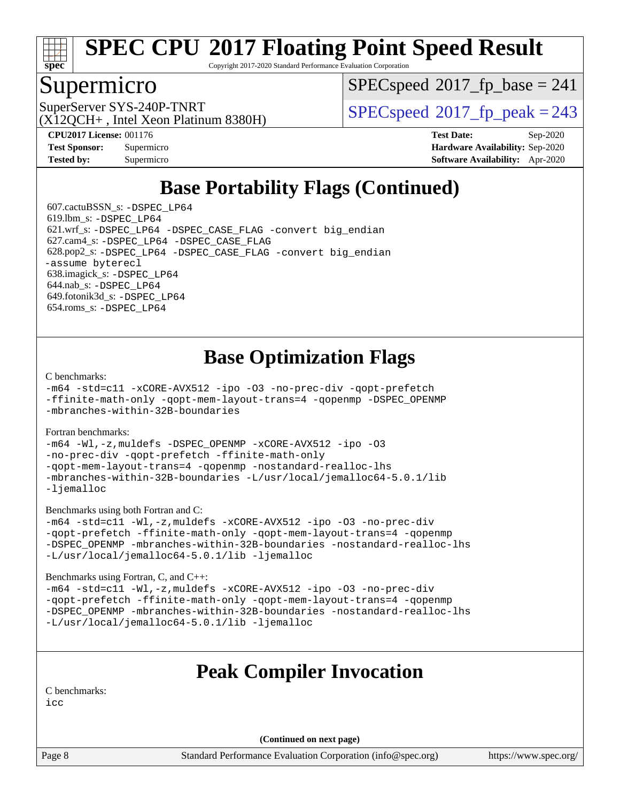

Copyright 2017-2020 Standard Performance Evaluation Corporation

### Supermicro

[SPECspeed](http://www.spec.org/auto/cpu2017/Docs/result-fields.html#SPECspeed2017fpbase)<sup>®</sup>2017 fp base = 241

(X12QCH+ , Intel Xeon Platinum 8380H)

SuperServer SYS-240P-TNRT  $SUS - 240P$ -TNRT  $SPEC speed \text{°}2017$  fp\_peak = 243

**[Tested by:](http://www.spec.org/auto/cpu2017/Docs/result-fields.html#Testedby)** Supermicro **[Software Availability:](http://www.spec.org/auto/cpu2017/Docs/result-fields.html#SoftwareAvailability)** Apr-2020

**[CPU2017 License:](http://www.spec.org/auto/cpu2017/Docs/result-fields.html#CPU2017License)** 001176 **[Test Date:](http://www.spec.org/auto/cpu2017/Docs/result-fields.html#TestDate)** Sep-2020 **[Test Sponsor:](http://www.spec.org/auto/cpu2017/Docs/result-fields.html#TestSponsor)** Supermicro **[Hardware Availability:](http://www.spec.org/auto/cpu2017/Docs/result-fields.html#HardwareAvailability)** Sep-2020

## **[Base Portability Flags \(Continued\)](http://www.spec.org/auto/cpu2017/Docs/result-fields.html#BasePortabilityFlags)**

 607.cactuBSSN\_s: [-DSPEC\\_LP64](http://www.spec.org/cpu2017/results/res2020q4/cpu2017-20200929-24137.flags.html#suite_basePORTABILITY607_cactuBSSN_s_DSPEC_LP64) 619.lbm\_s: [-DSPEC\\_LP64](http://www.spec.org/cpu2017/results/res2020q4/cpu2017-20200929-24137.flags.html#suite_basePORTABILITY619_lbm_s_DSPEC_LP64) 621.wrf\_s: [-DSPEC\\_LP64](http://www.spec.org/cpu2017/results/res2020q4/cpu2017-20200929-24137.flags.html#suite_basePORTABILITY621_wrf_s_DSPEC_LP64) [-DSPEC\\_CASE\\_FLAG](http://www.spec.org/cpu2017/results/res2020q4/cpu2017-20200929-24137.flags.html#b621.wrf_s_baseCPORTABILITY_DSPEC_CASE_FLAG) [-convert big\\_endian](http://www.spec.org/cpu2017/results/res2020q4/cpu2017-20200929-24137.flags.html#user_baseFPORTABILITY621_wrf_s_convert_big_endian_c3194028bc08c63ac5d04de18c48ce6d347e4e562e8892b8bdbdc0214820426deb8554edfa529a3fb25a586e65a3d812c835984020483e7e73212c4d31a38223) 627.cam4\_s: [-DSPEC\\_LP64](http://www.spec.org/cpu2017/results/res2020q4/cpu2017-20200929-24137.flags.html#suite_basePORTABILITY627_cam4_s_DSPEC_LP64) [-DSPEC\\_CASE\\_FLAG](http://www.spec.org/cpu2017/results/res2020q4/cpu2017-20200929-24137.flags.html#b627.cam4_s_baseCPORTABILITY_DSPEC_CASE_FLAG) 628.pop2\_s: [-DSPEC\\_LP64](http://www.spec.org/cpu2017/results/res2020q4/cpu2017-20200929-24137.flags.html#suite_basePORTABILITY628_pop2_s_DSPEC_LP64) [-DSPEC\\_CASE\\_FLAG](http://www.spec.org/cpu2017/results/res2020q4/cpu2017-20200929-24137.flags.html#b628.pop2_s_baseCPORTABILITY_DSPEC_CASE_FLAG) [-convert big\\_endian](http://www.spec.org/cpu2017/results/res2020q4/cpu2017-20200929-24137.flags.html#user_baseFPORTABILITY628_pop2_s_convert_big_endian_c3194028bc08c63ac5d04de18c48ce6d347e4e562e8892b8bdbdc0214820426deb8554edfa529a3fb25a586e65a3d812c835984020483e7e73212c4d31a38223) [-assume byterecl](http://www.spec.org/cpu2017/results/res2020q4/cpu2017-20200929-24137.flags.html#user_baseFPORTABILITY628_pop2_s_assume_byterecl_7e47d18b9513cf18525430bbf0f2177aa9bf368bc7a059c09b2c06a34b53bd3447c950d3f8d6c70e3faf3a05c8557d66a5798b567902e8849adc142926523472) 638.imagick\_s: [-DSPEC\\_LP64](http://www.spec.org/cpu2017/results/res2020q4/cpu2017-20200929-24137.flags.html#suite_basePORTABILITY638_imagick_s_DSPEC_LP64) 644.nab\_s: [-DSPEC\\_LP64](http://www.spec.org/cpu2017/results/res2020q4/cpu2017-20200929-24137.flags.html#suite_basePORTABILITY644_nab_s_DSPEC_LP64) 649.fotonik3d\_s: [-DSPEC\\_LP64](http://www.spec.org/cpu2017/results/res2020q4/cpu2017-20200929-24137.flags.html#suite_basePORTABILITY649_fotonik3d_s_DSPEC_LP64) 654.roms\_s: [-DSPEC\\_LP64](http://www.spec.org/cpu2017/results/res2020q4/cpu2017-20200929-24137.flags.html#suite_basePORTABILITY654_roms_s_DSPEC_LP64)

## **[Base Optimization Flags](http://www.spec.org/auto/cpu2017/Docs/result-fields.html#BaseOptimizationFlags)**

[C benchmarks](http://www.spec.org/auto/cpu2017/Docs/result-fields.html#Cbenchmarks):

[-m64](http://www.spec.org/cpu2017/results/res2020q4/cpu2017-20200929-24137.flags.html#user_CCbase_m64-icc) [-std=c11](http://www.spec.org/cpu2017/results/res2020q4/cpu2017-20200929-24137.flags.html#user_CCbase_std-icc-std_0e1c27790398a4642dfca32ffe6c27b5796f9c2d2676156f2e42c9c44eaad0c049b1cdb667a270c34d979996257aeb8fc440bfb01818dbc9357bd9d174cb8524) [-xCORE-AVX512](http://www.spec.org/cpu2017/results/res2020q4/cpu2017-20200929-24137.flags.html#user_CCbase_f-xCORE-AVX512) [-ipo](http://www.spec.org/cpu2017/results/res2020q4/cpu2017-20200929-24137.flags.html#user_CCbase_f-ipo) [-O3](http://www.spec.org/cpu2017/results/res2020q4/cpu2017-20200929-24137.flags.html#user_CCbase_f-O3) [-no-prec-div](http://www.spec.org/cpu2017/results/res2020q4/cpu2017-20200929-24137.flags.html#user_CCbase_f-no-prec-div) [-qopt-prefetch](http://www.spec.org/cpu2017/results/res2020q4/cpu2017-20200929-24137.flags.html#user_CCbase_f-qopt-prefetch) [-ffinite-math-only](http://www.spec.org/cpu2017/results/res2020q4/cpu2017-20200929-24137.flags.html#user_CCbase_f_finite_math_only_cb91587bd2077682c4b38af759c288ed7c732db004271a9512da14a4f8007909a5f1427ecbf1a0fb78ff2a814402c6114ac565ca162485bbcae155b5e4258871) [-qopt-mem-layout-trans=4](http://www.spec.org/cpu2017/results/res2020q4/cpu2017-20200929-24137.flags.html#user_CCbase_f-qopt-mem-layout-trans_fa39e755916c150a61361b7846f310bcdf6f04e385ef281cadf3647acec3f0ae266d1a1d22d972a7087a248fd4e6ca390a3634700869573d231a252c784941a8) [-qopenmp](http://www.spec.org/cpu2017/results/res2020q4/cpu2017-20200929-24137.flags.html#user_CCbase_qopenmp_16be0c44f24f464004c6784a7acb94aca937f053568ce72f94b139a11c7c168634a55f6653758ddd83bcf7b8463e8028bb0b48b77bcddc6b78d5d95bb1df2967) [-DSPEC\\_OPENMP](http://www.spec.org/cpu2017/results/res2020q4/cpu2017-20200929-24137.flags.html#suite_CCbase_DSPEC_OPENMP) [-mbranches-within-32B-boundaries](http://www.spec.org/cpu2017/results/res2020q4/cpu2017-20200929-24137.flags.html#user_CCbase_f-mbranches-within-32B-boundaries)

[Fortran benchmarks](http://www.spec.org/auto/cpu2017/Docs/result-fields.html#Fortranbenchmarks):

[-m64](http://www.spec.org/cpu2017/results/res2020q4/cpu2017-20200929-24137.flags.html#user_FCbase_m64-icc) [-Wl,-z,muldefs](http://www.spec.org/cpu2017/results/res2020q4/cpu2017-20200929-24137.flags.html#user_FCbase_link_force_multiple1_b4cbdb97b34bdee9ceefcfe54f4c8ea74255f0b02a4b23e853cdb0e18eb4525ac79b5a88067c842dd0ee6996c24547a27a4b99331201badda8798ef8a743f577) [-DSPEC\\_OPENMP](http://www.spec.org/cpu2017/results/res2020q4/cpu2017-20200929-24137.flags.html#suite_FCbase_DSPEC_OPENMP) [-xCORE-AVX512](http://www.spec.org/cpu2017/results/res2020q4/cpu2017-20200929-24137.flags.html#user_FCbase_f-xCORE-AVX512) [-ipo](http://www.spec.org/cpu2017/results/res2020q4/cpu2017-20200929-24137.flags.html#user_FCbase_f-ipo) [-O3](http://www.spec.org/cpu2017/results/res2020q4/cpu2017-20200929-24137.flags.html#user_FCbase_f-O3) [-no-prec-div](http://www.spec.org/cpu2017/results/res2020q4/cpu2017-20200929-24137.flags.html#user_FCbase_f-no-prec-div) [-qopt-prefetch](http://www.spec.org/cpu2017/results/res2020q4/cpu2017-20200929-24137.flags.html#user_FCbase_f-qopt-prefetch) [-ffinite-math-only](http://www.spec.org/cpu2017/results/res2020q4/cpu2017-20200929-24137.flags.html#user_FCbase_f_finite_math_only_cb91587bd2077682c4b38af759c288ed7c732db004271a9512da14a4f8007909a5f1427ecbf1a0fb78ff2a814402c6114ac565ca162485bbcae155b5e4258871) [-qopt-mem-layout-trans=4](http://www.spec.org/cpu2017/results/res2020q4/cpu2017-20200929-24137.flags.html#user_FCbase_f-qopt-mem-layout-trans_fa39e755916c150a61361b7846f310bcdf6f04e385ef281cadf3647acec3f0ae266d1a1d22d972a7087a248fd4e6ca390a3634700869573d231a252c784941a8) [-qopenmp](http://www.spec.org/cpu2017/results/res2020q4/cpu2017-20200929-24137.flags.html#user_FCbase_qopenmp_16be0c44f24f464004c6784a7acb94aca937f053568ce72f94b139a11c7c168634a55f6653758ddd83bcf7b8463e8028bb0b48b77bcddc6b78d5d95bb1df2967) [-nostandard-realloc-lhs](http://www.spec.org/cpu2017/results/res2020q4/cpu2017-20200929-24137.flags.html#user_FCbase_f_2003_std_realloc_82b4557e90729c0f113870c07e44d33d6f5a304b4f63d4c15d2d0f1fab99f5daaed73bdb9275d9ae411527f28b936061aa8b9c8f2d63842963b95c9dd6426b8a) [-mbranches-within-32B-boundaries](http://www.spec.org/cpu2017/results/res2020q4/cpu2017-20200929-24137.flags.html#user_FCbase_f-mbranches-within-32B-boundaries) [-L/usr/local/jemalloc64-5.0.1/lib](http://www.spec.org/cpu2017/results/res2020q4/cpu2017-20200929-24137.flags.html#user_FCbase_jemalloc_link_path64_1_cc289568b1a6c0fd3b62c91b824c27fcb5af5e8098e6ad028160d21144ef1b8aef3170d2acf0bee98a8da324cfe4f67d0a3d0c4cc4673d993d694dc2a0df248b) [-ljemalloc](http://www.spec.org/cpu2017/results/res2020q4/cpu2017-20200929-24137.flags.html#user_FCbase_jemalloc_link_lib_d1249b907c500fa1c0672f44f562e3d0f79738ae9e3c4a9c376d49f265a04b9c99b167ecedbf6711b3085be911c67ff61f150a17b3472be731631ba4d0471706)

[Benchmarks using both Fortran and C](http://www.spec.org/auto/cpu2017/Docs/result-fields.html#BenchmarksusingbothFortranandC):

[-m64](http://www.spec.org/cpu2017/results/res2020q4/cpu2017-20200929-24137.flags.html#user_CC_FCbase_m64-icc) [-std=c11](http://www.spec.org/cpu2017/results/res2020q4/cpu2017-20200929-24137.flags.html#user_CC_FCbase_std-icc-std_0e1c27790398a4642dfca32ffe6c27b5796f9c2d2676156f2e42c9c44eaad0c049b1cdb667a270c34d979996257aeb8fc440bfb01818dbc9357bd9d174cb8524) [-Wl,-z,muldefs](http://www.spec.org/cpu2017/results/res2020q4/cpu2017-20200929-24137.flags.html#user_CC_FCbase_link_force_multiple1_b4cbdb97b34bdee9ceefcfe54f4c8ea74255f0b02a4b23e853cdb0e18eb4525ac79b5a88067c842dd0ee6996c24547a27a4b99331201badda8798ef8a743f577) [-xCORE-AVX512](http://www.spec.org/cpu2017/results/res2020q4/cpu2017-20200929-24137.flags.html#user_CC_FCbase_f-xCORE-AVX512) [-ipo](http://www.spec.org/cpu2017/results/res2020q4/cpu2017-20200929-24137.flags.html#user_CC_FCbase_f-ipo) [-O3](http://www.spec.org/cpu2017/results/res2020q4/cpu2017-20200929-24137.flags.html#user_CC_FCbase_f-O3) [-no-prec-div](http://www.spec.org/cpu2017/results/res2020q4/cpu2017-20200929-24137.flags.html#user_CC_FCbase_f-no-prec-div) [-qopt-prefetch](http://www.spec.org/cpu2017/results/res2020q4/cpu2017-20200929-24137.flags.html#user_CC_FCbase_f-qopt-prefetch) [-ffinite-math-only](http://www.spec.org/cpu2017/results/res2020q4/cpu2017-20200929-24137.flags.html#user_CC_FCbase_f_finite_math_only_cb91587bd2077682c4b38af759c288ed7c732db004271a9512da14a4f8007909a5f1427ecbf1a0fb78ff2a814402c6114ac565ca162485bbcae155b5e4258871) [-qopt-mem-layout-trans=4](http://www.spec.org/cpu2017/results/res2020q4/cpu2017-20200929-24137.flags.html#user_CC_FCbase_f-qopt-mem-layout-trans_fa39e755916c150a61361b7846f310bcdf6f04e385ef281cadf3647acec3f0ae266d1a1d22d972a7087a248fd4e6ca390a3634700869573d231a252c784941a8) [-qopenmp](http://www.spec.org/cpu2017/results/res2020q4/cpu2017-20200929-24137.flags.html#user_CC_FCbase_qopenmp_16be0c44f24f464004c6784a7acb94aca937f053568ce72f94b139a11c7c168634a55f6653758ddd83bcf7b8463e8028bb0b48b77bcddc6b78d5d95bb1df2967) [-DSPEC\\_OPENMP](http://www.spec.org/cpu2017/results/res2020q4/cpu2017-20200929-24137.flags.html#suite_CC_FCbase_DSPEC_OPENMP) [-mbranches-within-32B-boundaries](http://www.spec.org/cpu2017/results/res2020q4/cpu2017-20200929-24137.flags.html#user_CC_FCbase_f-mbranches-within-32B-boundaries) [-nostandard-realloc-lhs](http://www.spec.org/cpu2017/results/res2020q4/cpu2017-20200929-24137.flags.html#user_CC_FCbase_f_2003_std_realloc_82b4557e90729c0f113870c07e44d33d6f5a304b4f63d4c15d2d0f1fab99f5daaed73bdb9275d9ae411527f28b936061aa8b9c8f2d63842963b95c9dd6426b8a) [-L/usr/local/jemalloc64-5.0.1/lib](http://www.spec.org/cpu2017/results/res2020q4/cpu2017-20200929-24137.flags.html#user_CC_FCbase_jemalloc_link_path64_1_cc289568b1a6c0fd3b62c91b824c27fcb5af5e8098e6ad028160d21144ef1b8aef3170d2acf0bee98a8da324cfe4f67d0a3d0c4cc4673d993d694dc2a0df248b) [-ljemalloc](http://www.spec.org/cpu2017/results/res2020q4/cpu2017-20200929-24137.flags.html#user_CC_FCbase_jemalloc_link_lib_d1249b907c500fa1c0672f44f562e3d0f79738ae9e3c4a9c376d49f265a04b9c99b167ecedbf6711b3085be911c67ff61f150a17b3472be731631ba4d0471706)

[Benchmarks using Fortran, C, and C++:](http://www.spec.org/auto/cpu2017/Docs/result-fields.html#BenchmarksusingFortranCandCXX)

[-m64](http://www.spec.org/cpu2017/results/res2020q4/cpu2017-20200929-24137.flags.html#user_CC_CXX_FCbase_m64-icc) [-std=c11](http://www.spec.org/cpu2017/results/res2020q4/cpu2017-20200929-24137.flags.html#user_CC_CXX_FCbase_std-icc-std_0e1c27790398a4642dfca32ffe6c27b5796f9c2d2676156f2e42c9c44eaad0c049b1cdb667a270c34d979996257aeb8fc440bfb01818dbc9357bd9d174cb8524) [-Wl,-z,muldefs](http://www.spec.org/cpu2017/results/res2020q4/cpu2017-20200929-24137.flags.html#user_CC_CXX_FCbase_link_force_multiple1_b4cbdb97b34bdee9ceefcfe54f4c8ea74255f0b02a4b23e853cdb0e18eb4525ac79b5a88067c842dd0ee6996c24547a27a4b99331201badda8798ef8a743f577) [-xCORE-AVX512](http://www.spec.org/cpu2017/results/res2020q4/cpu2017-20200929-24137.flags.html#user_CC_CXX_FCbase_f-xCORE-AVX512) [-ipo](http://www.spec.org/cpu2017/results/res2020q4/cpu2017-20200929-24137.flags.html#user_CC_CXX_FCbase_f-ipo) [-O3](http://www.spec.org/cpu2017/results/res2020q4/cpu2017-20200929-24137.flags.html#user_CC_CXX_FCbase_f-O3) [-no-prec-div](http://www.spec.org/cpu2017/results/res2020q4/cpu2017-20200929-24137.flags.html#user_CC_CXX_FCbase_f-no-prec-div) [-qopt-prefetch](http://www.spec.org/cpu2017/results/res2020q4/cpu2017-20200929-24137.flags.html#user_CC_CXX_FCbase_f-qopt-prefetch) [-ffinite-math-only](http://www.spec.org/cpu2017/results/res2020q4/cpu2017-20200929-24137.flags.html#user_CC_CXX_FCbase_f_finite_math_only_cb91587bd2077682c4b38af759c288ed7c732db004271a9512da14a4f8007909a5f1427ecbf1a0fb78ff2a814402c6114ac565ca162485bbcae155b5e4258871) [-qopt-mem-layout-trans=4](http://www.spec.org/cpu2017/results/res2020q4/cpu2017-20200929-24137.flags.html#user_CC_CXX_FCbase_f-qopt-mem-layout-trans_fa39e755916c150a61361b7846f310bcdf6f04e385ef281cadf3647acec3f0ae266d1a1d22d972a7087a248fd4e6ca390a3634700869573d231a252c784941a8) [-qopenmp](http://www.spec.org/cpu2017/results/res2020q4/cpu2017-20200929-24137.flags.html#user_CC_CXX_FCbase_qopenmp_16be0c44f24f464004c6784a7acb94aca937f053568ce72f94b139a11c7c168634a55f6653758ddd83bcf7b8463e8028bb0b48b77bcddc6b78d5d95bb1df2967) [-DSPEC\\_OPENMP](http://www.spec.org/cpu2017/results/res2020q4/cpu2017-20200929-24137.flags.html#suite_CC_CXX_FCbase_DSPEC_OPENMP) [-mbranches-within-32B-boundaries](http://www.spec.org/cpu2017/results/res2020q4/cpu2017-20200929-24137.flags.html#user_CC_CXX_FCbase_f-mbranches-within-32B-boundaries) [-nostandard-realloc-lhs](http://www.spec.org/cpu2017/results/res2020q4/cpu2017-20200929-24137.flags.html#user_CC_CXX_FCbase_f_2003_std_realloc_82b4557e90729c0f113870c07e44d33d6f5a304b4f63d4c15d2d0f1fab99f5daaed73bdb9275d9ae411527f28b936061aa8b9c8f2d63842963b95c9dd6426b8a) [-L/usr/local/jemalloc64-5.0.1/lib](http://www.spec.org/cpu2017/results/res2020q4/cpu2017-20200929-24137.flags.html#user_CC_CXX_FCbase_jemalloc_link_path64_1_cc289568b1a6c0fd3b62c91b824c27fcb5af5e8098e6ad028160d21144ef1b8aef3170d2acf0bee98a8da324cfe4f67d0a3d0c4cc4673d993d694dc2a0df248b) [-ljemalloc](http://www.spec.org/cpu2017/results/res2020q4/cpu2017-20200929-24137.flags.html#user_CC_CXX_FCbase_jemalloc_link_lib_d1249b907c500fa1c0672f44f562e3d0f79738ae9e3c4a9c376d49f265a04b9c99b167ecedbf6711b3085be911c67ff61f150a17b3472be731631ba4d0471706)

## **[Peak Compiler Invocation](http://www.spec.org/auto/cpu2017/Docs/result-fields.html#PeakCompilerInvocation)**

[C benchmarks](http://www.spec.org/auto/cpu2017/Docs/result-fields.html#Cbenchmarks):

[icc](http://www.spec.org/cpu2017/results/res2020q4/cpu2017-20200929-24137.flags.html#user_CCpeak_intel_icc_66fc1ee009f7361af1fbd72ca7dcefbb700085f36577c54f309893dd4ec40d12360134090235512931783d35fd58c0460139e722d5067c5574d8eaf2b3e37e92)

**(Continued on next page)**

Page 8 Standard Performance Evaluation Corporation [\(info@spec.org\)](mailto:info@spec.org) <https://www.spec.org/>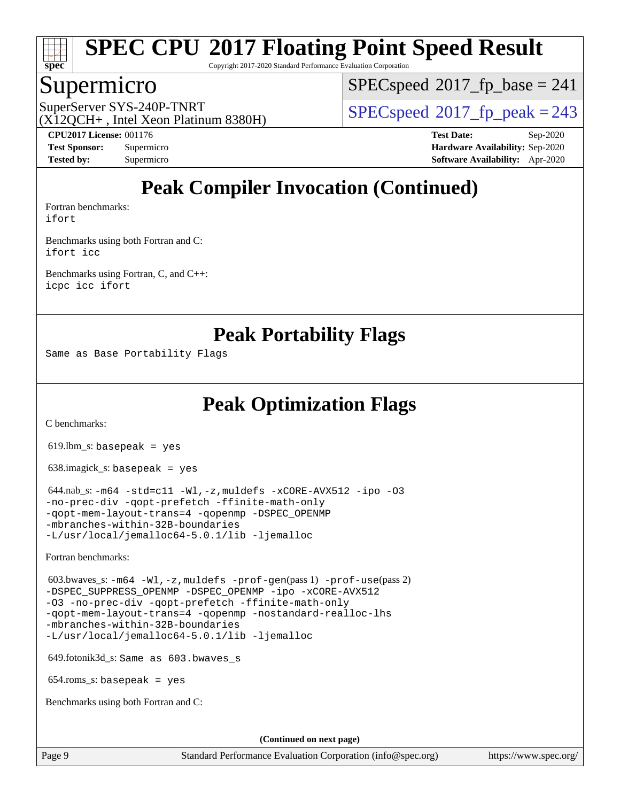

Copyright 2017-2020 Standard Performance Evaluation Corporation

### Supermicro

[SPECspeed](http://www.spec.org/auto/cpu2017/Docs/result-fields.html#SPECspeed2017fpbase)<sup>®</sup>2017 fp base = 241

(X12QCH+ , Intel Xeon Platinum 8380H)

SuperServer SYS-240P-TNRT  $SUS - 240P$ -TNRT  $SPEC speed^{\circ}2017$  fp\_peak = 243

**[Tested by:](http://www.spec.org/auto/cpu2017/Docs/result-fields.html#Testedby)** Supermicro **[Software Availability:](http://www.spec.org/auto/cpu2017/Docs/result-fields.html#SoftwareAvailability)** Apr-2020

**[CPU2017 License:](http://www.spec.org/auto/cpu2017/Docs/result-fields.html#CPU2017License)** 001176 **[Test Date:](http://www.spec.org/auto/cpu2017/Docs/result-fields.html#TestDate)** Sep-2020 **[Test Sponsor:](http://www.spec.org/auto/cpu2017/Docs/result-fields.html#TestSponsor)** Supermicro **[Hardware Availability:](http://www.spec.org/auto/cpu2017/Docs/result-fields.html#HardwareAvailability)** Sep-2020

## **[Peak Compiler Invocation \(Continued\)](http://www.spec.org/auto/cpu2017/Docs/result-fields.html#PeakCompilerInvocation)**

[Fortran benchmarks](http://www.spec.org/auto/cpu2017/Docs/result-fields.html#Fortranbenchmarks): [ifort](http://www.spec.org/cpu2017/results/res2020q4/cpu2017-20200929-24137.flags.html#user_FCpeak_intel_ifort_8111460550e3ca792625aed983ce982f94888b8b503583aa7ba2b8303487b4d8a21a13e7191a45c5fd58ff318f48f9492884d4413fa793fd88dd292cad7027ca)

[Benchmarks using both Fortran and C](http://www.spec.org/auto/cpu2017/Docs/result-fields.html#BenchmarksusingbothFortranandC): [ifort](http://www.spec.org/cpu2017/results/res2020q4/cpu2017-20200929-24137.flags.html#user_CC_FCpeak_intel_ifort_8111460550e3ca792625aed983ce982f94888b8b503583aa7ba2b8303487b4d8a21a13e7191a45c5fd58ff318f48f9492884d4413fa793fd88dd292cad7027ca) [icc](http://www.spec.org/cpu2017/results/res2020q4/cpu2017-20200929-24137.flags.html#user_CC_FCpeak_intel_icc_66fc1ee009f7361af1fbd72ca7dcefbb700085f36577c54f309893dd4ec40d12360134090235512931783d35fd58c0460139e722d5067c5574d8eaf2b3e37e92)

[Benchmarks using Fortran, C, and C++:](http://www.spec.org/auto/cpu2017/Docs/result-fields.html#BenchmarksusingFortranCandCXX) [icpc](http://www.spec.org/cpu2017/results/res2020q4/cpu2017-20200929-24137.flags.html#user_CC_CXX_FCpeak_intel_icpc_c510b6838c7f56d33e37e94d029a35b4a7bccf4766a728ee175e80a419847e808290a9b78be685c44ab727ea267ec2f070ec5dc83b407c0218cded6866a35d07) [icc](http://www.spec.org/cpu2017/results/res2020q4/cpu2017-20200929-24137.flags.html#user_CC_CXX_FCpeak_intel_icc_66fc1ee009f7361af1fbd72ca7dcefbb700085f36577c54f309893dd4ec40d12360134090235512931783d35fd58c0460139e722d5067c5574d8eaf2b3e37e92) [ifort](http://www.spec.org/cpu2017/results/res2020q4/cpu2017-20200929-24137.flags.html#user_CC_CXX_FCpeak_intel_ifort_8111460550e3ca792625aed983ce982f94888b8b503583aa7ba2b8303487b4d8a21a13e7191a45c5fd58ff318f48f9492884d4413fa793fd88dd292cad7027ca)

**[Peak Portability Flags](http://www.spec.org/auto/cpu2017/Docs/result-fields.html#PeakPortabilityFlags)**

Same as Base Portability Flags

**[Peak Optimization Flags](http://www.spec.org/auto/cpu2017/Docs/result-fields.html#PeakOptimizationFlags)**

[C benchmarks](http://www.spec.org/auto/cpu2017/Docs/result-fields.html#Cbenchmarks):

 $619.$ lbm\_s: basepeak = yes

638.imagick\_s: basepeak = yes

 $644.nab$ <sub>s:</sub>  $-m64$   $-std=cl1$   $-Wl$ ,  $-z$ ,  $muldefs$   $-xCORE-AVX512$   $-ipo$   $-03$ [-no-prec-div](http://www.spec.org/cpu2017/results/res2020q4/cpu2017-20200929-24137.flags.html#user_peakCOPTIMIZE644_nab_s_f-no-prec-div) [-qopt-prefetch](http://www.spec.org/cpu2017/results/res2020q4/cpu2017-20200929-24137.flags.html#user_peakCOPTIMIZE644_nab_s_f-qopt-prefetch) [-ffinite-math-only](http://www.spec.org/cpu2017/results/res2020q4/cpu2017-20200929-24137.flags.html#user_peakCOPTIMIZE644_nab_s_f_finite_math_only_cb91587bd2077682c4b38af759c288ed7c732db004271a9512da14a4f8007909a5f1427ecbf1a0fb78ff2a814402c6114ac565ca162485bbcae155b5e4258871) [-qopt-mem-layout-trans=4](http://www.spec.org/cpu2017/results/res2020q4/cpu2017-20200929-24137.flags.html#user_peakCOPTIMIZE644_nab_s_f-qopt-mem-layout-trans_fa39e755916c150a61361b7846f310bcdf6f04e385ef281cadf3647acec3f0ae266d1a1d22d972a7087a248fd4e6ca390a3634700869573d231a252c784941a8) [-qopenmp](http://www.spec.org/cpu2017/results/res2020q4/cpu2017-20200929-24137.flags.html#user_peakCOPTIMIZE644_nab_s_qopenmp_16be0c44f24f464004c6784a7acb94aca937f053568ce72f94b139a11c7c168634a55f6653758ddd83bcf7b8463e8028bb0b48b77bcddc6b78d5d95bb1df2967) [-DSPEC\\_OPENMP](http://www.spec.org/cpu2017/results/res2020q4/cpu2017-20200929-24137.flags.html#suite_peakCOPTIMIZE644_nab_s_DSPEC_OPENMP) [-mbranches-within-32B-boundaries](http://www.spec.org/cpu2017/results/res2020q4/cpu2017-20200929-24137.flags.html#user_peakEXTRA_COPTIMIZE644_nab_s_f-mbranches-within-32B-boundaries) [-L/usr/local/jemalloc64-5.0.1/lib](http://www.spec.org/cpu2017/results/res2020q4/cpu2017-20200929-24137.flags.html#user_peakEXTRA_LIBS644_nab_s_jemalloc_link_path64_1_cc289568b1a6c0fd3b62c91b824c27fcb5af5e8098e6ad028160d21144ef1b8aef3170d2acf0bee98a8da324cfe4f67d0a3d0c4cc4673d993d694dc2a0df248b) [-ljemalloc](http://www.spec.org/cpu2017/results/res2020q4/cpu2017-20200929-24137.flags.html#user_peakEXTRA_LIBS644_nab_s_jemalloc_link_lib_d1249b907c500fa1c0672f44f562e3d0f79738ae9e3c4a9c376d49f265a04b9c99b167ecedbf6711b3085be911c67ff61f150a17b3472be731631ba4d0471706)

[Fortran benchmarks](http://www.spec.org/auto/cpu2017/Docs/result-fields.html#Fortranbenchmarks):

 603.bwaves\_s: [-m64](http://www.spec.org/cpu2017/results/res2020q4/cpu2017-20200929-24137.flags.html#user_peakFCLD603_bwaves_s_m64-icc) [-Wl,-z,muldefs](http://www.spec.org/cpu2017/results/res2020q4/cpu2017-20200929-24137.flags.html#user_peakEXTRA_LDFLAGS603_bwaves_s_link_force_multiple1_b4cbdb97b34bdee9ceefcfe54f4c8ea74255f0b02a4b23e853cdb0e18eb4525ac79b5a88067c842dd0ee6996c24547a27a4b99331201badda8798ef8a743f577) [-prof-gen](http://www.spec.org/cpu2017/results/res2020q4/cpu2017-20200929-24137.flags.html#user_peakPASS1_FFLAGSPASS1_LDFLAGS603_bwaves_s_prof_gen_5aa4926d6013ddb2a31985c654b3eb18169fc0c6952a63635c234f711e6e63dd76e94ad52365559451ec499a2cdb89e4dc58ba4c67ef54ca681ffbe1461d6b36)(pass 1) [-prof-use](http://www.spec.org/cpu2017/results/res2020q4/cpu2017-20200929-24137.flags.html#user_peakPASS2_FFLAGSPASS2_LDFLAGS603_bwaves_s_prof_use_1a21ceae95f36a2b53c25747139a6c16ca95bd9def2a207b4f0849963b97e94f5260e30a0c64f4bb623698870e679ca08317ef8150905d41bd88c6f78df73f19)(pass 2) [-DSPEC\\_SUPPRESS\\_OPENMP](http://www.spec.org/cpu2017/results/res2020q4/cpu2017-20200929-24137.flags.html#suite_peakPASS1_FOPTIMIZE603_bwaves_s_DSPEC_SUPPRESS_OPENMP) [-DSPEC\\_OPENMP](http://www.spec.org/cpu2017/results/res2020q4/cpu2017-20200929-24137.flags.html#suite_peakPASS2_FOPTIMIZE603_bwaves_s_DSPEC_OPENMP) [-ipo](http://www.spec.org/cpu2017/results/res2020q4/cpu2017-20200929-24137.flags.html#user_peakPASS1_FOPTIMIZEPASS2_FOPTIMIZE603_bwaves_s_f-ipo) [-xCORE-AVX512](http://www.spec.org/cpu2017/results/res2020q4/cpu2017-20200929-24137.flags.html#user_peakPASS2_FOPTIMIZE603_bwaves_s_f-xCORE-AVX512) [-O3](http://www.spec.org/cpu2017/results/res2020q4/cpu2017-20200929-24137.flags.html#user_peakPASS1_FOPTIMIZEPASS2_FOPTIMIZE603_bwaves_s_f-O3) [-no-prec-div](http://www.spec.org/cpu2017/results/res2020q4/cpu2017-20200929-24137.flags.html#user_peakPASS1_FOPTIMIZEPASS2_FOPTIMIZE603_bwaves_s_f-no-prec-div) [-qopt-prefetch](http://www.spec.org/cpu2017/results/res2020q4/cpu2017-20200929-24137.flags.html#user_peakPASS1_FOPTIMIZEPASS2_FOPTIMIZE603_bwaves_s_f-qopt-prefetch) [-ffinite-math-only](http://www.spec.org/cpu2017/results/res2020q4/cpu2017-20200929-24137.flags.html#user_peakPASS1_FOPTIMIZEPASS2_FOPTIMIZE603_bwaves_s_f_finite_math_only_cb91587bd2077682c4b38af759c288ed7c732db004271a9512da14a4f8007909a5f1427ecbf1a0fb78ff2a814402c6114ac565ca162485bbcae155b5e4258871) [-qopt-mem-layout-trans=4](http://www.spec.org/cpu2017/results/res2020q4/cpu2017-20200929-24137.flags.html#user_peakPASS1_FOPTIMIZEPASS2_FOPTIMIZE603_bwaves_s_f-qopt-mem-layout-trans_fa39e755916c150a61361b7846f310bcdf6f04e385ef281cadf3647acec3f0ae266d1a1d22d972a7087a248fd4e6ca390a3634700869573d231a252c784941a8) [-qopenmp](http://www.spec.org/cpu2017/results/res2020q4/cpu2017-20200929-24137.flags.html#user_peakPASS2_FOPTIMIZE603_bwaves_s_qopenmp_16be0c44f24f464004c6784a7acb94aca937f053568ce72f94b139a11c7c168634a55f6653758ddd83bcf7b8463e8028bb0b48b77bcddc6b78d5d95bb1df2967) [-nostandard-realloc-lhs](http://www.spec.org/cpu2017/results/res2020q4/cpu2017-20200929-24137.flags.html#user_peakEXTRA_FOPTIMIZE603_bwaves_s_f_2003_std_realloc_82b4557e90729c0f113870c07e44d33d6f5a304b4f63d4c15d2d0f1fab99f5daaed73bdb9275d9ae411527f28b936061aa8b9c8f2d63842963b95c9dd6426b8a) [-mbranches-within-32B-boundaries](http://www.spec.org/cpu2017/results/res2020q4/cpu2017-20200929-24137.flags.html#user_peakEXTRA_FOPTIMIZE603_bwaves_s_f-mbranches-within-32B-boundaries) [-L/usr/local/jemalloc64-5.0.1/lib](http://www.spec.org/cpu2017/results/res2020q4/cpu2017-20200929-24137.flags.html#user_peakEXTRA_LIBS603_bwaves_s_jemalloc_link_path64_1_cc289568b1a6c0fd3b62c91b824c27fcb5af5e8098e6ad028160d21144ef1b8aef3170d2acf0bee98a8da324cfe4f67d0a3d0c4cc4673d993d694dc2a0df248b) [-ljemalloc](http://www.spec.org/cpu2017/results/res2020q4/cpu2017-20200929-24137.flags.html#user_peakEXTRA_LIBS603_bwaves_s_jemalloc_link_lib_d1249b907c500fa1c0672f44f562e3d0f79738ae9e3c4a9c376d49f265a04b9c99b167ecedbf6711b3085be911c67ff61f150a17b3472be731631ba4d0471706)

649.fotonik3d\_s: Same as 603.bwaves\_s

654.roms\_s: basepeak = yes

[Benchmarks using both Fortran and C](http://www.spec.org/auto/cpu2017/Docs/result-fields.html#BenchmarksusingbothFortranandC):

**(Continued on next page)**